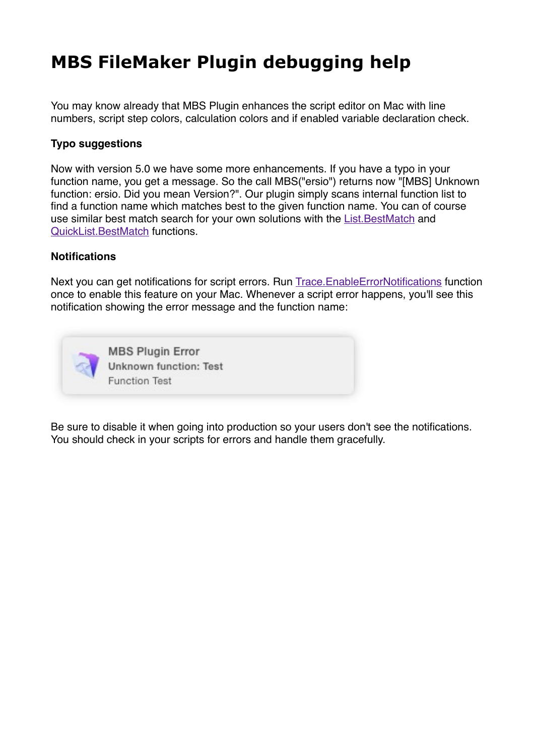# **[MBS FileMaker Plugin debugging help](https://www.mbsplugins.de/archive/2015-02-27/MBS_FileMaker_Plugin_debugging)**

You may know already that MBS Plugin enhances the script editor on Mac with line numbers, script step colors, calculation colors and if enabled variable declaration check.

### **Typo suggestions**

Now with version 5.0 we have some more enhancements. If you have a typo in your function name, you get a message. So the call MBS("ersio") returns now "[MBS] Unknown function: ersio. Did you mean Version?". Our plugin simply scans internal function list to find a function name which matches best to the given function name. You can of course use similar best match search for your own solutions with the [List.BestMatch](http://www.mbsplugins.eu/ListBestMatch.shtml) and [QuickList.BestMatch](http://www.mbsplugins.eu/QuickListBestMatch.shtml) functions.

#### **Notifications**

Next you can get notifications for script errors. Run [Trace.EnableErrorNotifications](http://www.mbsplugins.eu/TraceEnableErrorNotifications.shtml) function once to enable this feature on your Mac. Whenever a script error happens, you'll see this notification showing the error message and the function name:



Be sure to disable it when going into production so your users don't see the notifications. You should check in your scripts for errors and handle them gracefully.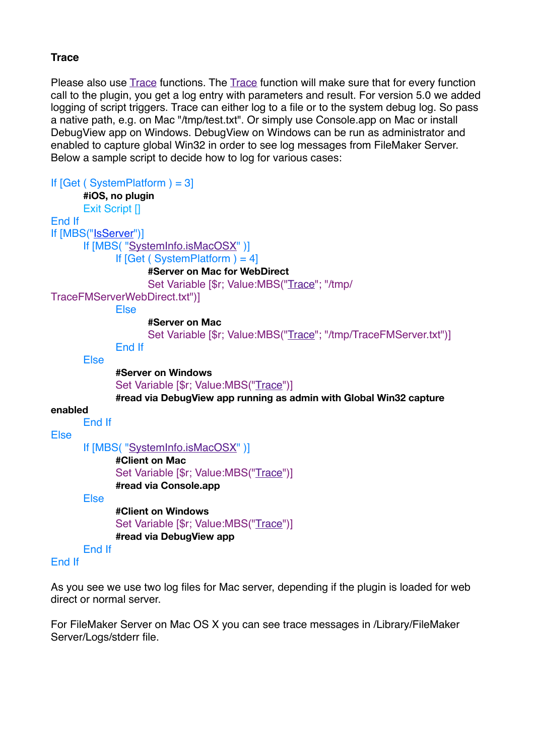## **Trace**

Please also use [Trace](http://www.mbsplugins.eu/Trace.shtml) functions. The [Trace](http://www.mbsplugins.eu/Trace.shtml) function will make sure that for every function call to the plugin, you get a log entry with parameters and result. For version 5.0 we added logging of script triggers. Trace can either log to a file or to the system debug log. So pass a native path, e.g. on Mac "/tmp/test.txt". Or simply use Console.app on Mac or install DebugView app on Windows. DebugView on Windows can be run as administrator and enabled to capture global Win32 in order to see log messages from FileMaker Server. Below a sample script to decide how to log for various cases:

```
If [Get (SystemPlatform) = 3]#iOS, no plugin
     Exit Script []
End If
If [MBS("IsServer")]
     If [MBS( "SystemInfo.isMacOSX" )]
           If [Get (SystemPlatform) = 4]#Server on Mac for WebDirect
                Set Variable [$r; Value:MBS("Trace"; "/tmp/
TraceFMServerWebDirect.txt")]
           Else
                #Server on Mac
                Trace"; "/tmp/TraceFMServer.txt")]
           End If
     Else
           #Server on Windows
           Trace")]
           #read via DebugView app running as admin with Global Win32 capture 
enabled
     End If
Else
     If [MBS( "SystemInfo.isMacOSX" )]
           #Client on Mac
           Trace")]
           #read via Console.app
     Else
           #Client on Windows
           Trace")]
           #read via DebugView app
     End If
End If
```
As you see we use two log files for Mac server, depending if the plugin is loaded for web direct or normal server.

For FileMaker Server on Mac OS X you can see trace messages in /Library/FileMaker Server/Logs/stderr file.